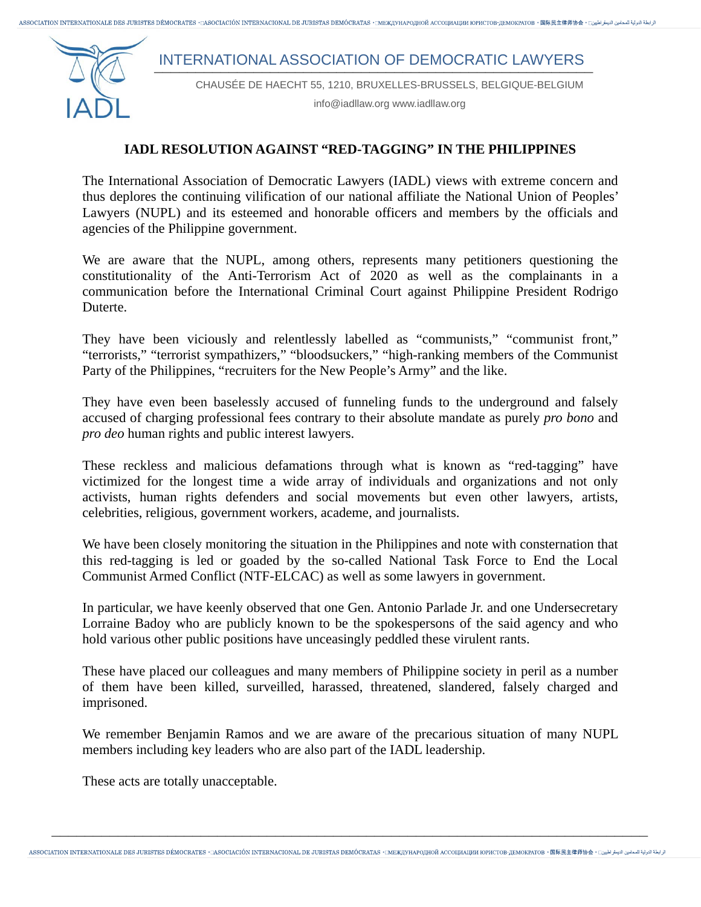ابطة التولية للمحامين التيمة طبين: ASSOCIATION INTERNATIONALE DES JURISTES DÉMOCRATES • [ASOCIACIÓN INTERNACIONAL DE JURISTAS DEMÓCRATAS • [MEXIVHAPOJHOЙ ACCOLIMALIMI ЮРИСТОВ-ЛЕМОКРАТОВ • 国际民主律师协会 • [المجلة التولية للمحا

## INTERNATIONAL ASSOCIATION OF DEMOCRATIC LAWYERS



CHAUSÉE DE HAECHT 55, 1210, BRUXELLES-BRUSSELS, BELGIQUE-BELGIUM

info@iadllaw.org www.iadllaw.org

## **IADL RESOLUTION AGAINST "RED-TAGGING" IN THE PHILIPPINES**

The International Association of Democratic Lawyers (IADL) views with extreme concern and thus deplores the continuing vilification of our national affiliate the National Union of Peoples' Lawyers (NUPL) and its esteemed and honorable officers and members by the officials and agencies of the Philippine government.

We are aware that the NUPL, among others, represents many petitioners questioning the constitutionality of the Anti-Terrorism Act of 2020 as well as the complainants in a communication before the International Criminal Court against Philippine President Rodrigo Duterte.

They have been viciously and relentlessly labelled as "communists," "communist front," "terrorists," "terrorist sympathizers," "bloodsuckers," "high-ranking members of the Communist Party of the Philippines, "recruiters for the New People's Army" and the like.

They have even been baselessly accused of funneling funds to the underground and falsely accused of charging professional fees contrary to their absolute mandate as purely *pro bono* and *pro deo* human rights and public interest lawyers.

These reckless and malicious defamations through what is known as "red-tagging" have victimized for the longest time a wide array of individuals and organizations and not only activists, human rights defenders and social movements but even other lawyers, artists, celebrities, religious, government workers, academe, and journalists.

We have been closely monitoring the situation in the Philippines and note with consternation that this red-tagging is led or goaded by the so-called National Task Force to End the Local Communist Armed Conflict (NTF-ELCAC) as well as some lawyers in government.

In particular, we have keenly observed that one Gen. Antonio Parlade Jr. and one Undersecretary Lorraine Badoy who are publicly known to be the spokespersons of the said agency and who hold various other public positions have unceasingly peddled these virulent rants.

These have placed our colleagues and many members of Philippine society in peril as a number of them have been killed, surveilled, harassed, threatened, slandered, falsely charged and imprisoned.

We remember Benjamin Ramos and we are aware of the precarious situation of many NUPL members including key leaders who are also part of the IADL leadership.

These acts are totally unacceptable.